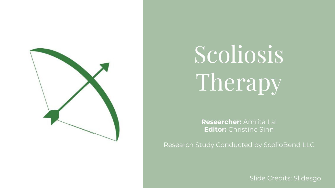

# Scoliosis Therapy

**Researcher:** Amrita Lal **Editor:** Christine Sinn

Research Study Conducted by ScolioBend LLC

Slide Credits: Slidesgo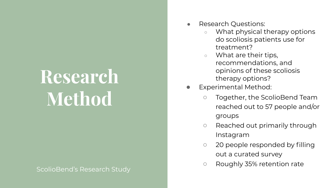### **Research Method**

- **Research Questions:** 
	- What physical therapy options do scoliosis patients use for treatment?
	- What are their tips, recommendations, and opinions of these scoliosis therapy options?
- **Experimental Method:** 
	- Together, the ScolioBend Team reached out to 57 people and/or groups
	- Reached out primarily through Instagram
	- 20 people responded by filling out a curated survey
	- Roughly 35% retention rate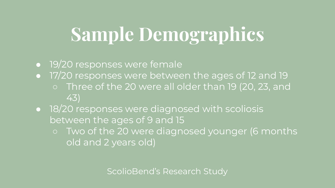### **Sample Demographics**

- 19/20 responses were female
- **.** 17/20 responses were between the ages of 12 and 19 o Three of the 20 were all older than 19 (20, 23, and 43)
- 18/20 responses were diagnosed with scoliosis between the ages of 9 and 15
	- o Two of the 20 were diagnosed younger (6 months old and 2 years old)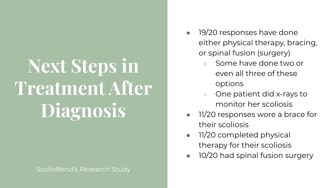## **Next Steps in Treatment After Diagnosis**

- 19/20 responses have done either physical therapy, bracing, or spinal fusion (surgery)
	- Some have done two or even all three of these options
	- One patient did x-rays to monitor her scoliosis
- 11/20 responses wore a brace for their scoliosis
- 11/20 completed physical therapy for their scoliosis
- 10/20 had spinal fusion surgery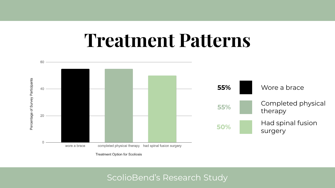### **Treatment Patterns**



**Treatment Option for Scoliosis**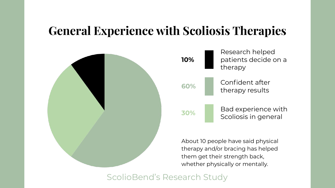#### **General Experience with Scoliosis Therapies**





About 10 people have said physical therapy and/or bracing has helped them get their strength back, whether physically or mentally.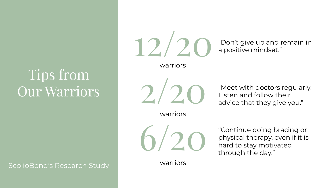#### Tips from Our Warriors

ScolioBend's Research Study

warriors



warriors



warriors

TO CO "Don't give up and remain in

2/20 "Meet with doctors regularly.<br>Listen and follow their<br>advice that they give you." Listen and follow their advice that they give you."

> "Continue doing bracing or physical therapy, even if it is hard to stay motivated through the day."